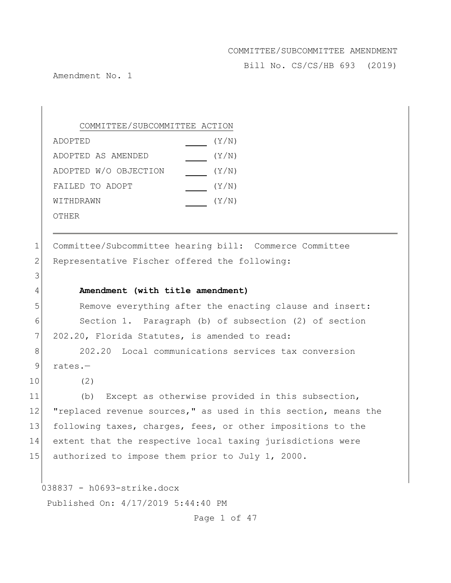Bill No. CS/CS/HB 693 (2019)

Amendment No. 1

# COMMITTEE/SUBCOMMITTEE ACTION

| ADOPTED               | (Y/N) |
|-----------------------|-------|
| ADOPTED AS AMENDED    | (Y/N) |
| ADOPTED W/O OBJECTION | (Y/N) |
| FAILED TO ADOPT       | (Y/N) |
| WITHDRAWN             | (Y/N) |
| OTHER                 |       |

1 Committee/Subcommittee hearing bill: Commerce Committee 2 Representative Fischer offered the following:

#### 4 **Amendment (with title amendment)**

5 Remove everything after the enacting clause and insert: 6 Section 1. Paragraph (b) of subsection (2) of section 7 202.20, Florida Statutes, is amended to read:

8 202.20 Local communications services tax conversion 9 rates.-

10 (2)

3

11 (b) Except as otherwise provided in this subsection, 12 "replaced revenue sources," as used in this section, means the 13 following taxes, charges, fees, or other impositions to the 14 extent that the respective local taxing jurisdictions were 15 authorized to impose them prior to July 1, 2000.

038837 - h0693-strike.docx

Published On: 4/17/2019 5:44:40 PM

Page 1 of 47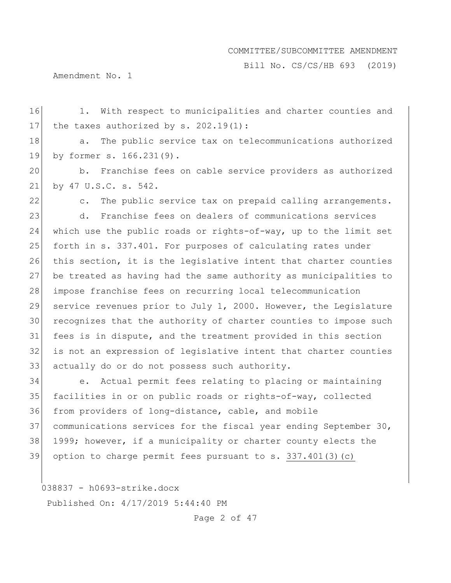Bill No. CS/CS/HB 693 (2019)

Amendment No. 1

16 1. With respect to municipalities and charter counties and 17 the taxes authorized by  $s. 202.19(1)$ : 18 a. The public service tax on telecommunications authorized by former s. 166.231(9). b. Franchise fees on cable service providers as authorized by 47 U.S.C. s. 542. 22 c. The public service tax on prepaid calling arrangements. d. Franchise fees on dealers of communications services 24 which use the public roads or rights-of-way, up to the limit set forth in s. 337.401. For purposes of calculating rates under this section, it is the legislative intent that charter counties be treated as having had the same authority as municipalities to 28 impose franchise fees on recurring local telecommunication service revenues prior to July 1, 2000. However, the Legislature recognizes that the authority of charter counties to impose such fees is in dispute, and the treatment provided in this section is not an expression of legislative intent that charter counties 33 actually do or do not possess such authority. e. Actual permit fees relating to placing or maintaining facilities in or on public roads or rights-of-way, collected from providers of long-distance, cable, and mobile communications services for the fiscal year ending September 30, 38 1999; however, if a municipality or charter county elects the

39 option to charge permit fees pursuant to s. 337.401(3)(c)

038837 - h0693-strike.docx

Published On: 4/17/2019 5:44:40 PM

Page 2 of 47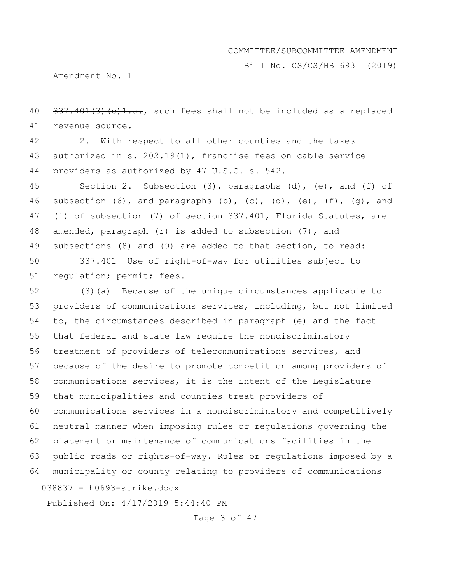Bill No. CS/CS/HB 693 (2019)

Amendment No. 1

 $40$   $337.401(3)(e)1.a.,$  such fees shall not be included as a replaced 41 revenue source.

42 2. With respect to all other counties and the taxes 43 authorized in s. 202.19(1), franchise fees on cable service 44 providers as authorized by 47 U.S.C. s. 542.

45 Section 2. Subsection (3), paragraphs (d), (e), and (f) of 46 subsection (6), and paragraphs (b), (c), (d), (e), (f), (g), and 47 (i) of subsection (7) of section 337.401, Florida Statutes, are 48 amended, paragraph (r) is added to subsection (7), and 49 subsections (8) and (9) are added to that section, to read:

50 337.401 Use of right-of-way for utilities subject to 51 regulation; permit; fees.-

038837 - h0693-strike.docx 52 (3)(a) Because of the unique circumstances applicable to 53 providers of communications services, including, but not limited to, the circumstances described in paragraph (e) and the fact 55 that federal and state law require the nondiscriminatory treatment of providers of telecommunications services, and because of the desire to promote competition among providers of 58 communications services, it is the intent of the Legislature that municipalities and counties treat providers of communications services in a nondiscriminatory and competitively neutral manner when imposing rules or regulations governing the placement or maintenance of communications facilities in the public roads or rights-of-way. Rules or regulations imposed by a municipality or county relating to providers of communications

Published On: 4/17/2019 5:44:40 PM

Page 3 of 47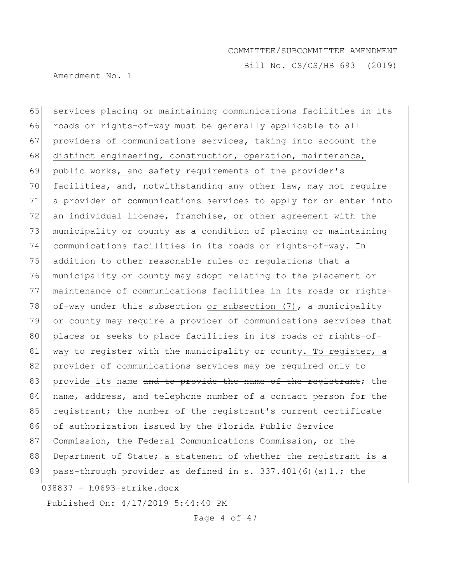Bill No. CS/CS/HB 693 (2019)

Amendment No. 1

038837 - h0693-strike.docx 65 services placing or maintaining communications facilities in its 66 roads or rights-of-way must be generally applicable to all 67 providers of communications services, taking into account the 68 distinct engineering, construction, operation, maintenance, 69 public works, and safety requirements of the provider's 70 facilities, and, notwithstanding any other law, may not require 71 a provider of communications services to apply for or enter into 72 an individual license, franchise, or other agreement with the 73 municipality or county as a condition of placing or maintaining 74 communications facilities in its roads or rights-of-way. In 75 addition to other reasonable rules or regulations that a 76 municipality or county may adopt relating to the placement or 77 maintenance of communications facilities in its roads or rights-78 of-way under this subsection or subsection  $(7)$ , a municipality 79 or county may require a provider of communications services that 80 places or seeks to place facilities in its roads or rights-of-81 way to register with the municipality or county. To register, a 82 provider of communications services may be required only to 83 provide its name and to provide the name of the registrant; the 84 name, address, and telephone number of a contact person for the 85 registrant; the number of the registrant's current certificate 86 of authorization issued by the Florida Public Service 87 Commission, the Federal Communications Commission, or the 88 Department of State; a statement of whether the registrant is a 89 pass-through provider as defined in s.  $337.401(6)(a)1$ .; the

Published On: 4/17/2019 5:44:40 PM

Page 4 of 47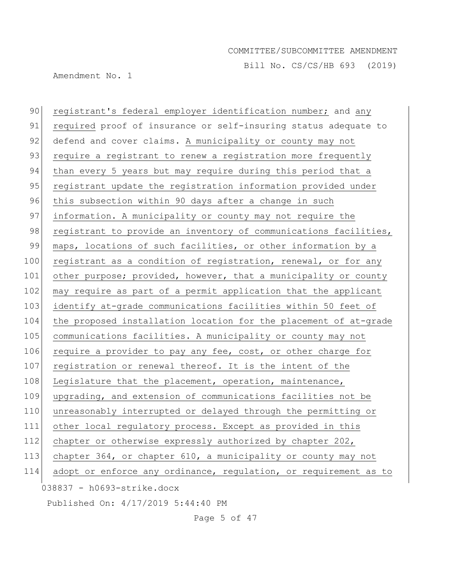Bill No. CS/CS/HB 693 (2019)

Amendment No. 1

038837 - h0693-strike.docx 90 registrant's federal employer identification number; and any 91 required proof of insurance or self-insuring status adequate to 92 defend and cover claims. A municipality or county may not 93 require a registrant to renew a registration more frequently 94 than every 5 years but may require during this period that a 95 registrant update the registration information provided under 96 this subsection within 90 days after a change in such 97 information. A municipality or county may not require the 98 registrant to provide an inventory of communications facilities, 99 maps, locations of such facilities, or other information by a 100 registrant as a condition of registration, renewal, or for any 101 other purpose; provided, however, that a municipality or county 102 may require as part of a permit application that the applicant 103 identify at-grade communications facilities within 50 feet of 104 the proposed installation location for the placement of at-grade 105 communications facilities. A municipality or county may not 106 require a provider to pay any fee, cost, or other charge for 107 registration or renewal thereof. It is the intent of the 108 Legislature that the placement, operation, maintenance, 109 upgrading, and extension of communications facilities not be 110 unreasonably interrupted or delayed through the permitting or 111 other local regulatory process. Except as provided in this 112 chapter or otherwise expressly authorized by chapter 202, 113 chapter 364, or chapter 610, a municipality or county may not 114 adopt or enforce any ordinance, regulation, or requirement as to

Published On: 4/17/2019 5:44:40 PM

Page 5 of 47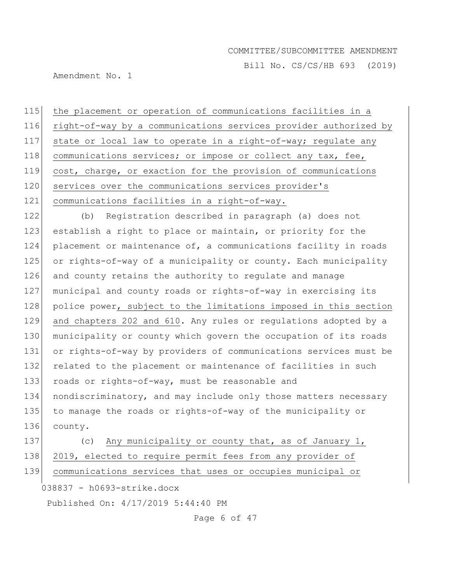Bill No. CS/CS/HB 693 (2019)

Amendment No. 1

 the placement or operation of communications facilities in a right-of-way by a communications services provider authorized by state or local law to operate in a right-of-way; regulate any 118 communications services; or impose or collect any tax, fee, cost, charge, or exaction for the provision of communications 120 services over the communications services provider's communications facilities in a right-of-way.

122 (b) Registration described in paragraph (a) does not 123 establish a right to place or maintain, or priority for the 124 placement or maintenance of, a communications facility in roads 125 or rights-of-way of a municipality or county. Each municipality 126 and county retains the authority to regulate and manage 127 municipal and county roads or rights-of-way in exercising its 128 police power, subject to the limitations imposed in this section 129 and chapters 202 and 610. Any rules or regulations adopted by a 130 municipality or county which govern the occupation of its roads 131 or rights-of-way by providers of communications services must be 132 related to the placement or maintenance of facilities in such 133 roads or rights-of-way, must be reasonable and 134 nondiscriminatory, and may include only those matters necessary 135 to manage the roads or rights-of-way of the municipality or 136 county. 137 (c) Any municipality or county that, as of January 1,

138 2019, elected to require permit fees from any provider of

139 communications services that uses or occupies municipal or

038837 - h0693-strike.docx

Published On: 4/17/2019 5:44:40 PM

Page 6 of 47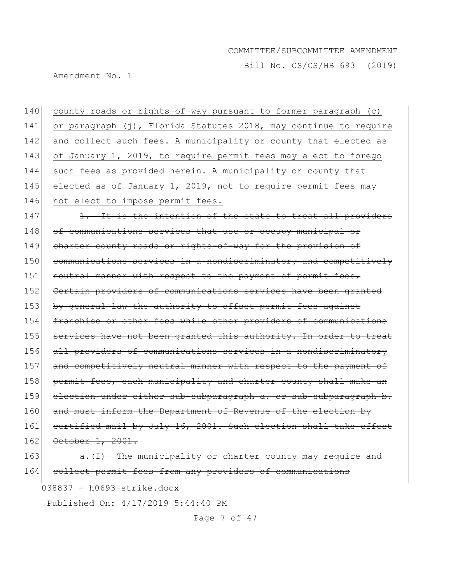Bill No. CS/CS/HB 693 (2019)

Amendment No. 1

140 county roads or rights-of-way pursuant to former paragraph (c) 141 or paragraph (j), Florida Statutes 2018, may continue to require 142 and collect such fees. A municipality or county that elected as 143 of January 1, 2019, to require permit fees may elect to forego 144 such fees as provided herein. A municipality or county that 145 elected as of January 1, 2019, not to require permit fees may 146 not elect to impose permit fees.  $147$  1. It is the intention of the state to treat all providers 148 of communications services that use or occupy municipal or 149 charter county roads or rights-of-way for the provision of 150 communications services in a nondiscriminatory and competitively 151 neutral manner with respect to the payment of permit fees. 152 Certain providers of communications services have been granted 153 by general law the authority to offset permit fees against 154 franchise or other fees while other providers of communications 155 services have not been granted this authority. In order to treat 156 all providers of communications services in a nondiscriminatory 157 and competitively neutral manner with respect to the payment of 158 permit fees, each municipality and charter county shall make an 159 election under either sub-subparagraph a. or sub-subparagraph b. 160 and must inform the Department of Revenue of the election by 161 certified mail by July 16, 2001. Such election shall take effect 162 October 1, 2001.  $163$  a. (I) The municipality or charter county may require and

164 collect permit fees from any providers of communications

038837 - h0693-strike.docx

Published On: 4/17/2019 5:44:40 PM

Page 7 of 47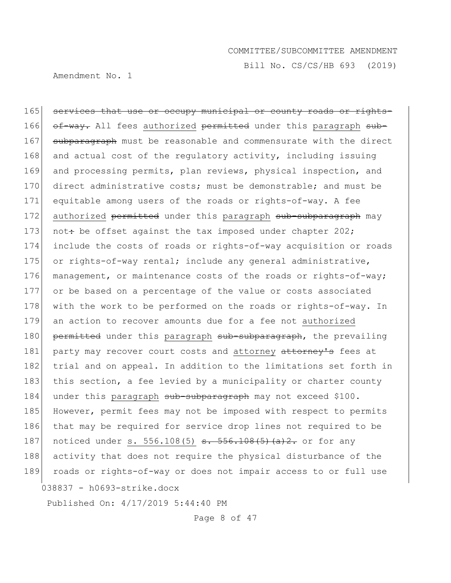Amendment No. 1

Bill No. CS/CS/HB 693 (2019)

038837 - h0693-strike.docx 165 services that use or occupy municipal or county roads or rights-166 of-way. All fees authorized permitted under this paragraph sub-167 subparagraph must be reasonable and commensurate with the direct 168 and actual cost of the regulatory activity, including issuing 169 and processing permits, plan reviews, physical inspection, and 170 direct administrative costs; must be demonstrable; and must be 171 equitable among users of the roads or rights-of-way. A fee 172 authorized permitted under this paragraph sub-subparagraph may 173 not: be offset against the tax imposed under chapter 202; 174 include the costs of roads or rights-of-way acquisition or roads 175 or rights-of-way rental; include any general administrative, 176 management, or maintenance costs of the roads or rights-of-way; 177 or be based on a percentage of the value or costs associated 178 with the work to be performed on the roads or rights-of-way. In 179 an action to recover amounts due for a fee not authorized 180 permitted under this paragraph sub-subparagraph, the prevailing 181 party may recover court costs and attorney attorney's fees at 182 trial and on appeal. In addition to the limitations set forth in 183 this section, a fee levied by a municipality or charter county 184 under this paragraph sub-subparagraph may not exceed \$100. 185 However, permit fees may not be imposed with respect to permits 186 that may be required for service drop lines not required to be 187 noticed under s. 556.108(5)  $\frac{1}{5}$ .  $\frac{1}{5}$ .  $\frac{1}{6}$ .  $\frac{1}{6}$ .  $\frac{1}{2}$ . or for any 188 activity that does not require the physical disturbance of the 189 roads or rights-of-way or does not impair access to or full use

Published On: 4/17/2019 5:44:40 PM

Page 8 of 47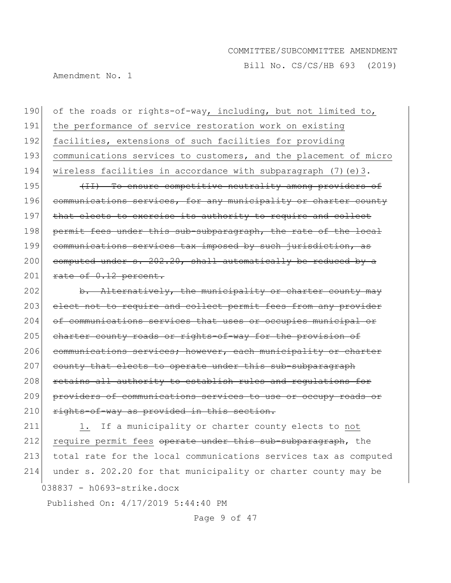Bill No. CS/CS/HB 693 (2019)

Amendment No. 1

190 of the roads or rights-of-way, including, but not limited to, 191 the performance of service restoration work on existing 192 facilities, extensions of such facilities for providing 193 communications services to customers, and the placement of micro 194 wireless facilities in accordance with subparagraph (7)(e)3. 195 (II) To ensure competitive neutrality among providers of 196 communications services, for any municipality or charter county 197 | that elects to exercise its authority to require and collect 198 permit fees under this sub-subparagraph, the rate of the local 199 communications services tax imposed by such jurisdiction, as 200 computed under  $s. 202.20$ , shall automatically be reduced by a  $201$  rate of  $0.12$  percent. 202 b. Alternatively, the municipality or charter county may

203 elect not to require and collect permit fees from any provider 204 of communications services that uses or occupies municipal or 205 charter county roads or rights-of-way for the provision of 206 communications services; however, each municipality or charter 207 county that elects to operate under this sub-subparagraph 208 retains all authority to establish rules and regulations for 209 providers of communications services to use or occupy roads or 210 rights-of-way as provided in this section.

038837 - h0693-strike.docx 211 1. If a municipality or charter county elects to not 212 require permit fees operate under this sub-subparagraph, the 213 total rate for the local communications services tax as computed 214 under s. 202.20 for that municipality or charter county may be

Published On: 4/17/2019 5:44:40 PM

Page 9 of 47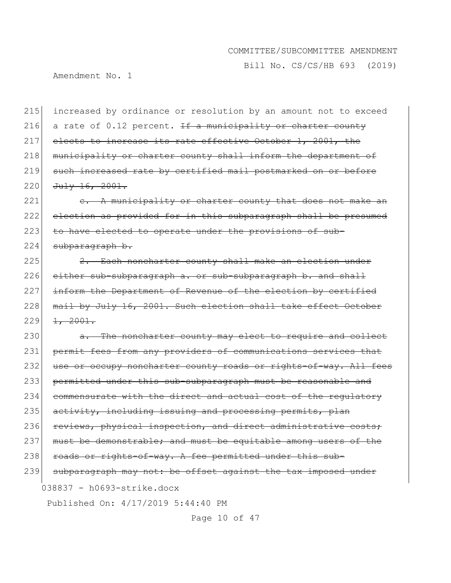Bill No. CS/CS/HB 693 (2019)

Amendment No. 1

215 increased by ordinance or resolution by an amount not to exceed 216 a rate of 0.12 percent. If a municipality or charter county 217 elects to increase its rate effective October 1, 2001, the 218 municipality or charter county shall inform the department of 219 such increased rate by certified mail postmarked on or before  $220$  July 16, 2001.

221 e. A municipality or charter county that does not make an 222 election as provided for in this subparagraph shall be presumed 223 to have elected to operate under the provisions of sub- $224$  subparagraph b.

225 2. Each noncharter county shall make an election under 226 either sub-subparagraph a. or sub-subparagraph b. and shall 227 inform the Department of Revenue of the election by certified 228 mail by July 16, 2001. Such election shall take effect October  $229$   $1, 2001.$ 

038837 - h0693-strike.docx Published On: 4/17/2019 5:44:40 PM 230 a. The noncharter county may elect to require and collect 231 permit fees from any providers of communications services that 232 use or occupy noncharter county roads or rights-of-way. All fees 233 permitted under this sub-subparagraph must be reasonable and 234 commensurate with the direct and actual cost of the regulatory 235 activity, including issuing and processing permits, plan 236 reviews, physical inspection, and direct administrative costs; 237 must be demonstrable; and must be equitable among users of the 238 roads or rights-of-way. A fee permitted under this sub-239 subparagraph may not: be offset against the tax imposed under

Page 10 of 47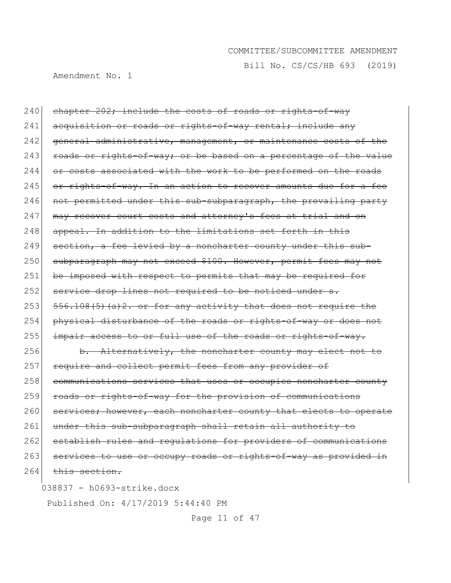Bill No. CS/CS/HB 693 (2019)

Amendment No. 1

038837 - h0693-strike.docx 240 chapter 202; include the costs of roads or rights-of-way 241 acquisition or roads or rights-of-way rental; include any 242 general administrative, management, or maintenance costs of the  $243$  roads or rights-of-way; or be based on a percentage of the value  $244$  or costs associated with the work to be performed on the roads  $245$  or rights-of-way. In an action to recover amounts due for a fee 246 not permitted under this sub-subparagraph, the prevailing party 247 | may recover court costs and attorney's fees at trial and on 248 appeal. In addition to the limitations set forth in this  $249$  section, a fee levied by a noncharter county under this sub-250 subparagraph may not exceed \$100. However, permit fees may not 251 be imposed with respect to permits that may be required for 252 service drop lines not required to be noticed under s.  $253$   $556.108(5)$  (a)  $2.$  or for any activity that does not require the 254 physical disturbance of the roads or rights-of-way or does not  $255$  impair access to or full use of the roads or rights-of-way. 256 b. Alternatively, the noncharter county may elect not to 257 require and collect permit fees from any provider of 258 communications services that uses or occupies noncharter county 259 roads or rights-of-way for the provision of communications 260 services; however, each noncharter county that elects to operate 261 under this sub-subparagraph shall retain all authority to 262 establish rules and regulations for providers of communications 263 services to use or occupy roads or rights-of-way as provided in  $264$  this section.

Published On: 4/17/2019 5:44:40 PM

Page 11 of 47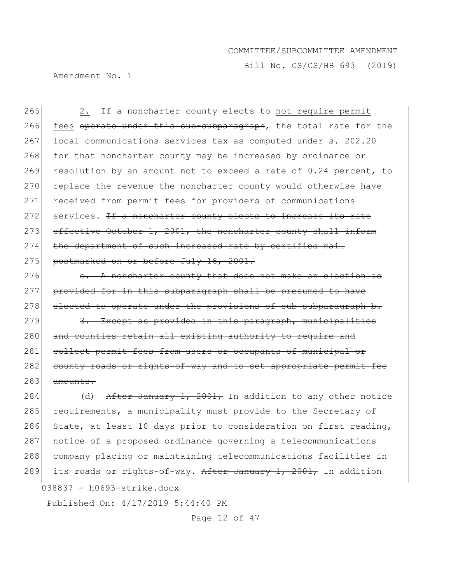Bill No. CS/CS/HB 693 (2019)

Amendment No. 1

265 2. If a noncharter county elects to not require permit 266 fees operate under this sub-subparagraph, the total rate for the 267 local communications services tax as computed under s. 202.20 268 for that noncharter county may be increased by ordinance or 269 resolution by an amount not to exceed a rate of  $0.24$  percent, to 270 replace the revenue the noncharter county would otherwise have 271 received from permit fees for providers of communications 272 services. If a noncharter county elects to increase its rate 273 effective October 1, 2001, the noncharter county shall inform 274 the department of such increased rate by certified mail 275 postmarked on or before July 16, 2001.

 $276$  e. A noncharter county that does not make an election as 277 provided for in this subparagraph shall be presumed to have  $278$  elected to operate under the provisions of sub-subparagraph b.

 $279$  3. Except as provided in this paragraph, municipalities 280 and counties retain all existing authority to require and 281 collect permit fees from users or occupants of municipal or 282 county roads or rights-of-way and to set appropriate permit fee  $283$  amounts.

284 (d) After January 1, 2001, In addition to any other notice 285 requirements, a municipality must provide to the Secretary of 286 State, at least 10 days prior to consideration on first reading, 287 notice of a proposed ordinance governing a telecommunications 288 company placing or maintaining telecommunications facilities in 289 its roads or rights-of-way. After January 1, 2001, In addition

038837 - h0693-strike.docx

Published On: 4/17/2019 5:44:40 PM

Page 12 of 47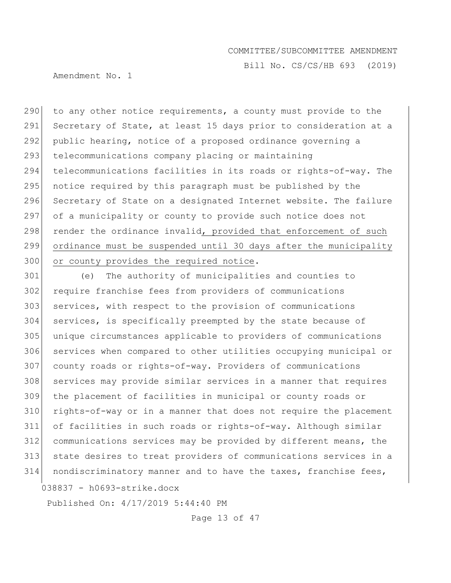Bill No. CS/CS/HB 693 (2019)

Amendment No. 1

290 to any other notice requirements, a county must provide to the 291 Secretary of State, at least 15 days prior to consideration at a 292 public hearing, notice of a proposed ordinance governing a 293 telecommunications company placing or maintaining 294 telecommunications facilities in its roads or rights-of-way. The 295 notice required by this paragraph must be published by the 296 Secretary of State on a designated Internet website. The failure 297 of a municipality or county to provide such notice does not 298 render the ordinance invalid, provided that enforcement of such 299 ordinance must be suspended until 30 days after the municipality 300 or county provides the required notice.

038837 - h0693-strike.docx (e) The authority of municipalities and counties to require franchise fees from providers of communications services, with respect to the provision of communications services, is specifically preempted by the state because of unique circumstances applicable to providers of communications services when compared to other utilities occupying municipal or county roads or rights-of-way. Providers of communications services may provide similar services in a manner that requires the placement of facilities in municipal or county roads or rights-of-way or in a manner that does not require the placement of facilities in such roads or rights-of-way. Although similar communications services may be provided by different means, the state desires to treat providers of communications services in a nondiscriminatory manner and to have the taxes, franchise fees,

Published On: 4/17/2019 5:44:40 PM

Page 13 of 47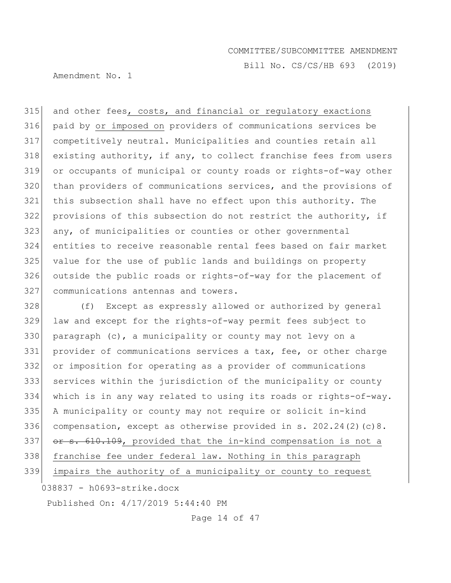Amendment No. 1

Bill No. CS/CS/HB 693 (2019)

315 and other fees, costs, and financial or regulatory exactions paid by or imposed on providers of communications services be competitively neutral. Municipalities and counties retain all 318 existing authority, if any, to collect franchise fees from users or occupants of municipal or county roads or rights-of-way other 320 than providers of communications services, and the provisions of this subsection shall have no effect upon this authority. The provisions of this subsection do not restrict the authority, if 323 any, of municipalities or counties or other governmental entities to receive reasonable rental fees based on fair market value for the use of public lands and buildings on property outside the public roads or rights-of-way for the placement of communications antennas and towers.

 (f) Except as expressly allowed or authorized by general law and except for the rights-of-way permit fees subject to 330 paragraph (c), a municipality or county may not levy on a provider of communications services a tax, fee, or other charge or imposition for operating as a provider of communications services within the jurisdiction of the municipality or county which is in any way related to using its roads or rights-of-way. A municipality or county may not require or solicit in-kind compensation, except as otherwise provided in s. 202.24(2)(c)8. 337 or s. 610.109, provided that the in-kind compensation is not a franchise fee under federal law. Nothing in this paragraph impairs the authority of a municipality or county to request

038837 - h0693-strike.docx

Published On: 4/17/2019 5:44:40 PM

Page 14 of 47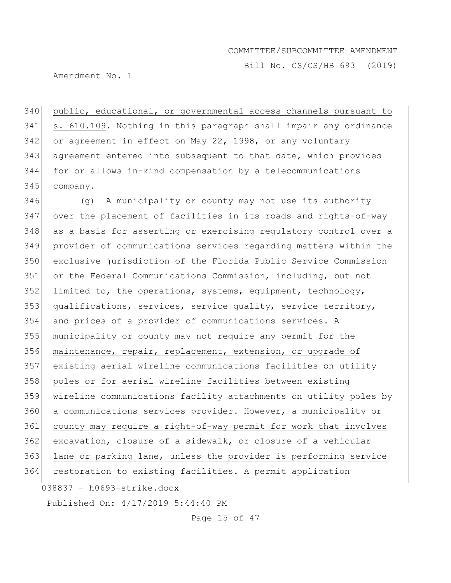Bill No. CS/CS/HB 693 (2019)

Amendment No. 1

 public, educational, or governmental access channels pursuant to s. 610.109. Nothing in this paragraph shall impair any ordinance or agreement in effect on May 22, 1998, or any voluntary agreement entered into subsequent to that date, which provides for or allows in-kind compensation by a telecommunications company.

038837 - h0693-strike.docx (g) A municipality or county may not use its authority over the placement of facilities in its roads and rights-of-way 348 as a basis for asserting or exercising regulatory control over a provider of communications services regarding matters within the exclusive jurisdiction of the Florida Public Service Commission or the Federal Communications Commission, including, but not 352 limited to, the operations, systems, equipment, technology, 353 qualifications, services, service quality, service territory, and prices of a provider of communications services. A municipality or county may not require any permit for the maintenance, repair, replacement, extension, or upgrade of existing aerial wireline communications facilities on utility 358 poles or for aerial wireline facilities between existing wireline communications facility attachments on utility poles by a communications services provider. However, a municipality or county may require a right-of-way permit for work that involves 362 excavation, closure of a sidewalk, or closure of a vehicular lane or parking lane, unless the provider is performing service restoration to existing facilities. A permit application

Published On: 4/17/2019 5:44:40 PM

Page 15 of 47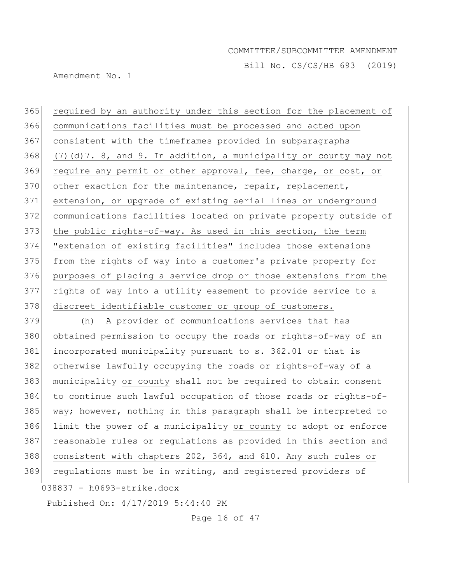Bill No. CS/CS/HB 693 (2019)

Amendment No. 1

 required by an authority under this section for the placement of communications facilities must be processed and acted upon consistent with the timeframes provided in subparagraphs 368 (7)(d)7. 8, and 9. In addition, a municipality or county may not 369 require any permit or other approval, fee, charge, or cost, or 370 other exaction for the maintenance, repair, replacement, extension, or upgrade of existing aerial lines or underground communications facilities located on private property outside of the public rights-of-way. As used in this section, the term "extension of existing facilities" includes those extensions 375 from the rights of way into a customer's private property for purposes of placing a service drop or those extensions from the rights of way into a utility easement to provide service to a 378 discreet identifiable customer or group of customers.

379 (h) A provider of communications services that has 380 obtained permission to occupy the roads or rights-of-way of an 381 incorporated municipality pursuant to s. 362.01 or that is 382 otherwise lawfully occupying the roads or rights-of-way of a 383 municipality or county shall not be required to obtain consent 384 to continue such lawful occupation of those roads or rights-of-385 way; however, nothing in this paragraph shall be interpreted to 386 limit the power of a municipality or county to adopt or enforce 387 reasonable rules or regulations as provided in this section and 388 consistent with chapters 202, 364, and 610. Any such rules or 389 regulations must be in writing, and registered providers of

038837 - h0693-strike.docx

Published On: 4/17/2019 5:44:40 PM

Page 16 of 47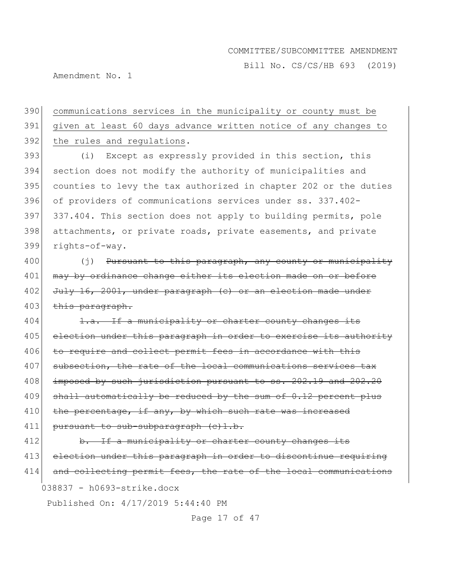Bill No. CS/CS/HB 693 (2019)

Amendment No. 1

390 communications services in the municipality or county must be 391 given at least 60 days advance written notice of any changes to 392 the rules and regulations.

393 (i) Except as expressly provided in this section, this section does not modify the authority of municipalities and counties to levy the tax authorized in chapter 202 or the duties of providers of communications services under ss. 337.402- 397 337.404. This section does not apply to building permits, pole attachments, or private roads, private easements, and private rights-of-way.

400 (j) Pursuant to this paragraph, any county or municipality 401 | may by ordinance change either its election made on or before 402 July 16, 2001, under paragraph (c) or an election made under 403 this paragraph.

404 1.a. If a municipality or charter county changes its 405 election under this paragraph in order to exercise its authority 406 to require and collect permit fees in accordance with this 407 subsection, the rate of the local communications services tax 408 imposed by such jurisdiction pursuant to ss. 202.19 and 202.20  $409$  shall automatically be reduced by the sum of  $0.12$  percent plus 410 | the percentage, if any, by which such rate was increased 411 pursuant to sub-subparagraph (c)1.b.

038837 - h0693-strike.docx 412 b. If a municipality or charter county changes its 413 election under this paragraph in order to discontinue requiring 414 and collecting permit fees, the rate of the local communications

Published On: 4/17/2019 5:44:40 PM

Page 17 of 47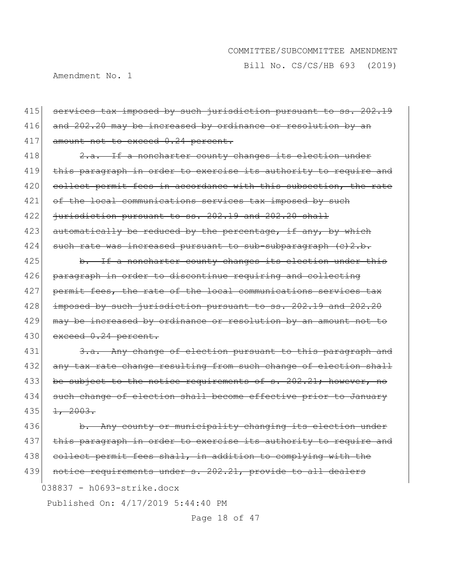Bill No. CS/CS/HB 693 (2019)

Amendment No. 1

415 services tax imposed by such jurisdiction pursuant to ss. 202.19 416 and 202.20 may be increased by ordinance or resolution by an 417 amount not to exceed 0.24 percent. 418 2.a. If a noncharter county changes its election under 419 this paragraph in order to exercise its authority to require and 420 collect permit fees in accordance with this subsection, the rate 421 of the local communications services tax imposed by such 422  $\rightarrow$  iurisdiction pursuant to ss. 202.19 and 202.20 shall 423 automatically be reduced by the percentage, if any, by which 424 such rate was increased pursuant to sub-subparagraph  $(c)$ 2.b.  $425$  b. If a noncharter county changes its election under this 426 paragraph in order to discontinue requiring and collecting 427 permit fees, the rate of the local communications services tax 428 imposed by such jurisdiction pursuant to ss. 202.19 and 202.20 429 may be increased by ordinance or resolution by an amount not to 430 exceed 0.24 percent. 431 3.a. Any change of election pursuant to this paragraph and 432 any tax rate change resulting from such change of election shall 433 be subject to the notice requirements of s. 202.21; however, no 434 such change of election shall become effective prior to January  $435$   $1, 2003.$ 436 b. Any county or municipality changing its election under 437 this paragraph in order to exercise its authority to require and

438 collect permit fees shall, in addition to complying with the

439 notice requirements under s. 202.21, provide to all dealers

038837 - h0693-strike.docx

Published On: 4/17/2019 5:44:40 PM

Page 18 of 47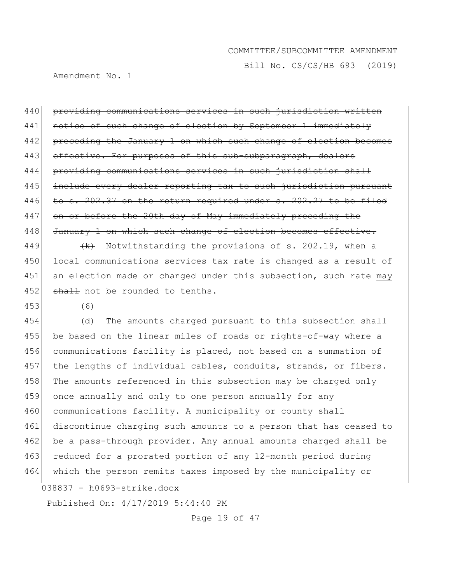Bill No. CS/CS/HB 693 (2019)

Amendment No. 1

440 providing communications services in such jurisdiction written 441 notice of such change of election by September 1 immediately 442 preceding the January 1 on which such change of election becomes 443 effective. For purposes of this sub-subparagraph, dealers 444 providing communications services in such jurisdiction shall 445 include every dealer reporting tax to such jurisdiction pursuant 446 to s. 202.37 on the return required under s. 202.27 to be filed 447 on or before the 20th day of May immediately preceding the 448 January 1 on which such change of election becomes effective.

449  $\left\{\left(k\right)$  Notwithstanding the provisions of s. 202.19, when a 450 local communications services tax rate is changed as a result of 451 an election made or changed under this subsection, such rate may 452 shall not be rounded to tenths.

453 (6)

038837 - h0693-strike.docx 454 (d) The amounts charged pursuant to this subsection shall 455 be based on the linear miles of roads or rights-of-way where a 456 communications facility is placed, not based on a summation of 457 the lengths of individual cables, conduits, strands, or fibers. 458 | The amounts referenced in this subsection may be charged only 459 once annually and only to one person annually for any 460 communications facility. A municipality or county shall 461 discontinue charging such amounts to a person that has ceased to 462 be a pass-through provider. Any annual amounts charged shall be 463 reduced for a prorated portion of any 12-month period during 464 which the person remits taxes imposed by the municipality or

Published On: 4/17/2019 5:44:40 PM

Page 19 of 47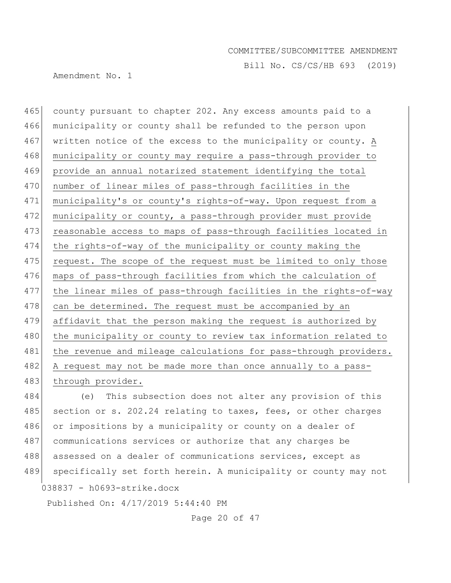Bill No. CS/CS/HB 693 (2019)

Amendment No. 1

465 county pursuant to chapter 202. Any excess amounts paid to a 466 municipality or county shall be refunded to the person upon 467 written notice of the excess to the municipality or county. A 468 municipality or county may require a pass-through provider to 469 provide an annual notarized statement identifying the total 470 number of linear miles of pass-through facilities in the 471 municipality's or county's rights-of-way. Upon request from a 472 municipality or county, a pass-through provider must provide 473 reasonable access to maps of pass-through facilities located in 474 the rights-of-way of the municipality or county making the 475 request. The scope of the request must be limited to only those 476 maps of pass-through facilities from which the calculation of 477 the linear miles of pass-through facilities in the rights-of-way 478 can be determined. The request must be accompanied by an 479 affidavit that the person making the request is authorized by 480 | the municipality or county to review tax information related to 481 | the revenue and mileage calculations for pass-through providers. 482 A request may not be made more than once annually to a pass-483 through provider.

038837 - h0693-strike.docx 484 (e) This subsection does not alter any provision of this 485 section or s. 202.24 relating to taxes, fees, or other charges 486 or impositions by a municipality or county on a dealer of 487 communications services or authorize that any charges be 488 assessed on a dealer of communications services, except as 489 specifically set forth herein. A municipality or county may not

Published On: 4/17/2019 5:44:40 PM

Page 20 of 47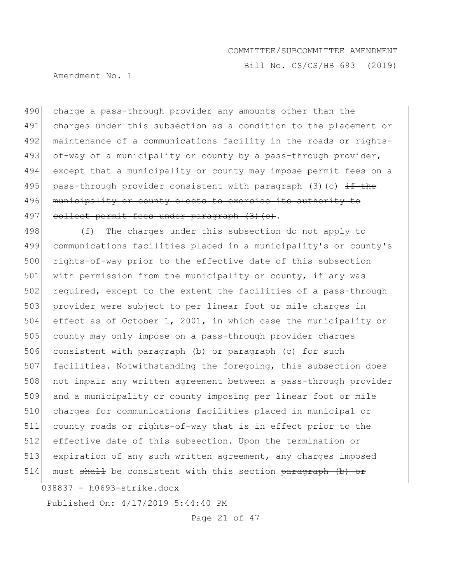Bill No. CS/CS/HB 693 (2019)

Amendment No. 1

490 charge a pass-through provider any amounts other than the 491 charges under this subsection as a condition to the placement or 492 maintenance of a communications facility in the roads or rights-493 of-way of a municipality or county by a pass-through provider, 494 except that a municipality or county may impose permit fees on a 495 pass-through provider consistent with paragraph (3)(c)  $\pm$ f the 496 municipality or county elects to exercise its authority to 497 collect permit fees under paragraph (3)(c).

498 (f) The charges under this subsection do not apply to 499 communications facilities placed in a municipality's or county's 500 rights-of-way prior to the effective date of this subsection 501 with permission from the municipality or county, if any was 502 required, except to the extent the facilities of a pass-through 503 provider were subject to per linear foot or mile charges in 504 effect as of October 1, 2001, in which case the municipality or 505 county may only impose on a pass-through provider charges 506 consistent with paragraph (b) or paragraph (c) for such 507 facilities. Notwithstanding the foregoing, this subsection does 508 not impair any written agreement between a pass-through provider 509 and a municipality or county imposing per linear foot or mile 510 charges for communications facilities placed in municipal or 511 county roads or rights-of-way that is in effect prior to the 512 effective date of this subsection. Upon the termination or 513 expiration of any such written agreement, any charges imposed 514 must  $shall$  be consistent with this section  $paragraph$  (b) or

038837 - h0693-strike.docx

Published On: 4/17/2019 5:44:40 PM

Page 21 of 47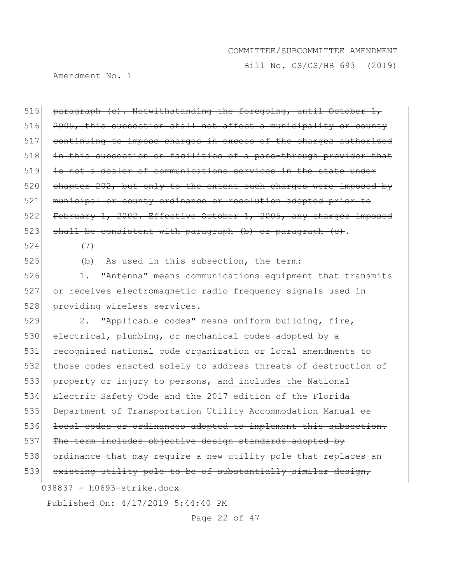Bill No. CS/CS/HB 693 (2019)

Amendment No. 1

515 paragraph (c). Notwithstanding the foregoing, until October 1, 516 2005, this subsection shall not affect a municipality or county 517 continuing to impose charges in excess of the charges authorized 518 in this subsection on facilities of a pass-through provider that 519 is not a dealer of communications services in the state under  $520$  chapter  $202$ , but only to the extent such charges were imposed by 521 municipal or county ordinance or resolution adopted prior to 522 February 1, 2002. Effective October 1, 2005, any charges imposed 523 shall be consistent with paragraph  $(b)$  or paragraph  $(c)$ . 524 (7)

525 (b) As used in this subsection, the term:

526 1. "Antenna" means communications equipment that transmits 527 or receives electromagnetic radio frequency signals used in 528 providing wireless services.

038837 - h0693-strike.docx Published On: 4/17/2019 5:44:40 PM 529 2. "Applicable codes" means uniform building, fire, 530 electrical, plumbing, or mechanical codes adopted by a 531 recognized national code organization or local amendments to 532 those codes enacted solely to address threats of destruction of 533 property or injury to persons, and includes the National 534 Electric Safety Code and the 2017 edition of the Florida 535 Department of Transportation Utility Accommodation Manual  $\theta$ 536 local codes or ordinances adopted to implement this subsection. 537 The term includes objective design standards adopted by 538 ordinance that may require a new utility pole that replaces an 539 existing utility pole to be of substantially similar design,

Page 22 of 47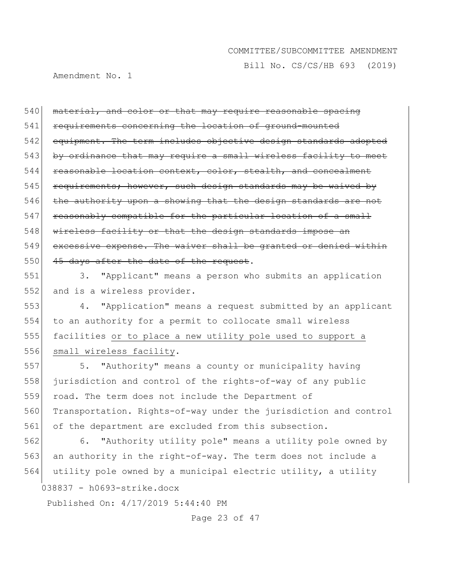Bill No. CS/CS/HB 693 (2019)

Amendment No. 1

540 material, and color or that may require reasonable spacing 541 requirements concerning the location of ground-mounted 542 equipment. The term includes objective design standards adopted 543 by ordinance that may require a small wireless facility to meet 544 reasonable location context, color, stealth, and concealment 545 requirements; however, such design standards may be waived by  $546$  the authority upon a showing that the design standards are not 547 reasonably compatible for the particular location of a small 548 wireless facility or that the design standards impose an 549 excessive expense. The waiver shall be granted or denied within  $550$  45 days after the date of the request.

551 3. "Applicant" means a person who submits an application 552 and is a wireless provider.

553 4. "Application" means a request submitted by an applicant 554 to an authority for a permit to collocate small wireless 555 facilities or to place a new utility pole used to support a 556 small wireless facility.

557 5. "Authority" means a county or municipality having 558 jurisdiction and control of the rights-of-way of any public 559 road. The term does not include the Department of 560 Transportation. Rights-of-way under the jurisdiction and control 561 of the department are excluded from this subsection.

038837 - h0693-strike.docx 562 6. "Authority utility pole" means a utility pole owned by 563 an authority in the right-of-way. The term does not include a 564 utility pole owned by a municipal electric utility, a utility

Published On: 4/17/2019 5:44:40 PM

Page 23 of 47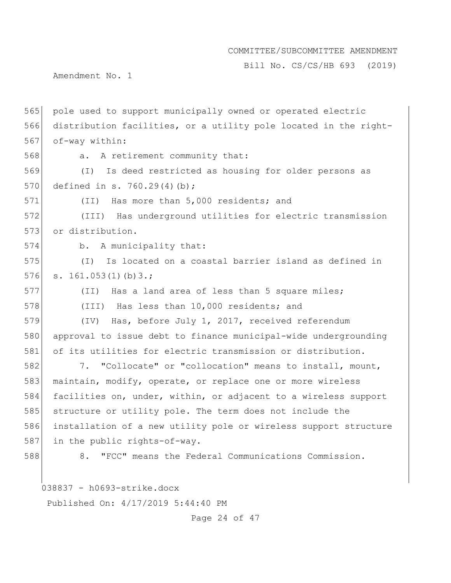Bill No. CS/CS/HB 693 (2019)

Amendment No. 1

565 pole used to support municipally owned or operated electric 566 distribution facilities, or a utility pole located in the right-567 of-way within:

568 a. A retirement community that:

569 (I) Is deed restricted as housing for older persons as 570 defined in s. 760.29(4)(b);

571 (II) Has more than 5,000 residents; and

572 (III) Has underground utilities for electric transmission 573 or distribution.

574 b. A municipality that:

575 (I) Is located on a coastal barrier island as defined in 576  $s. 161.053(1)(b)3.$ ;

577 (II) Has a land area of less than 5 square miles;

578 (III) Has less than 10,000 residents; and

579 (IV) Has, before July 1, 2017, received referendum 580 approval to issue debt to finance municipal-wide undergrounding 581 of its utilities for electric transmission or distribution.

582 7. "Collocate" or "collocation" means to install, mount, 583 maintain, modify, operate, or replace one or more wireless 584 facilities on, under, within, or adjacent to a wireless support 585 structure or utility pole. The term does not include the 586 installation of a new utility pole or wireless support structure 587 in the public rights-of-way.

588 8. "FCC" means the Federal Communications Commission.

038837 - h0693-strike.docx

Published On: 4/17/2019 5:44:40 PM

Page 24 of 47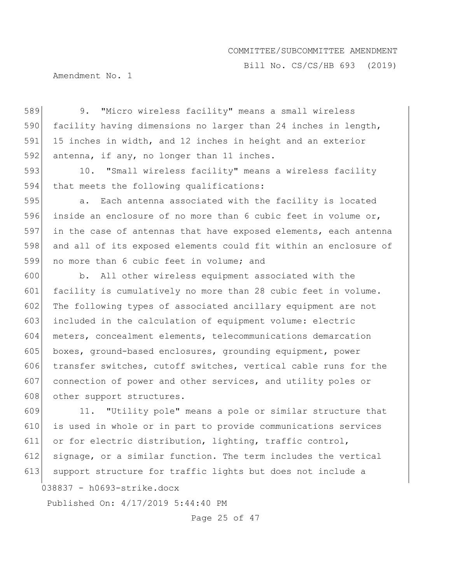Bill No. CS/CS/HB 693 (2019)

Amendment No. 1

589 9. "Micro wireless facility" means a small wireless 590 facility having dimensions no larger than 24 inches in length, 591 15 inches in width, and 12 inches in height and an exterior 592 antenna, if any, no longer than 11 inches.

593 10. "Small wireless facility" means a wireless facility 594 that meets the following qualifications:

595 **a.** Each antenna associated with the facility is located 596 inside an enclosure of no more than 6 cubic feet in volume or, 597 in the case of antennas that have exposed elements, each antenna 598 and all of its exposed elements could fit within an enclosure of 599 no more than 6 cubic feet in volume; and

600 b. All other wireless equipment associated with the 601 facility is cumulatively no more than 28 cubic feet in volume. 602 The following types of associated ancillary equipment are not 603 included in the calculation of equipment volume: electric 604 meters, concealment elements, telecommunications demarcation 605 boxes, ground-based enclosures, grounding equipment, power 606 transfer switches, cutoff switches, vertical cable runs for the 607 connection of power and other services, and utility poles or 608 other support structures.

609 11. "Utility pole" means a pole or similar structure that 610 is used in whole or in part to provide communications services 611 or for electric distribution, lighting, traffic control, 612 signage, or a similar function. The term includes the vertical 613 support structure for traffic lights but does not include a

038837 - h0693-strike.docx

Published On: 4/17/2019 5:44:40 PM

Page 25 of 47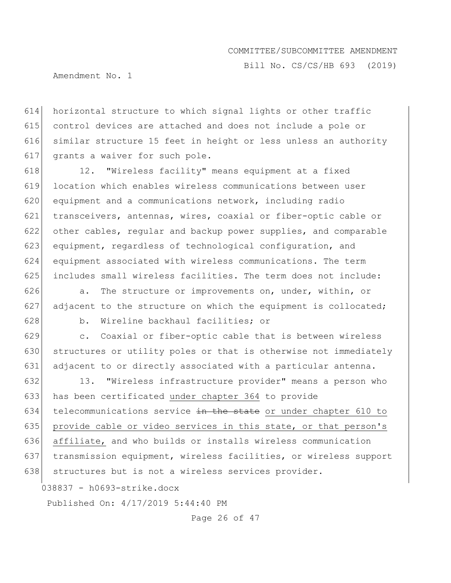Bill No. CS/CS/HB 693 (2019)

Amendment No. 1

 horizontal structure to which signal lights or other traffic control devices are attached and does not include a pole or similar structure 15 feet in height or less unless an authority 617 grants a waiver for such pole.

618 12. "Wireless facility" means equipment at a fixed location which enables wireless communications between user equipment and a communications network, including radio transceivers, antennas, wires, coaxial or fiber-optic cable or other cables, regular and backup power supplies, and comparable equipment, regardless of technological configuration, and equipment associated with wireless communications. The term 625 includes small wireless facilities. The term does not include:

626 a. The structure or improvements on, under, within, or 627 adjacent to the structure on which the equipment is collocated; 628 b. Wireline backhaul facilities; or

629 c. Coaxial or fiber-optic cable that is between wireless 630 structures or utility poles or that is otherwise not immediately 631 adjacent to or directly associated with a particular antenna.

632 13. "Wireless infrastructure provider" means a person who 633 has been certificated under chapter 364 to provide 634 telecommunications service  $\frac{1}{2}$  the state or under chapter 610 to 635 provide cable or video services in this state, or that person's 636 affiliate, and who builds or installs wireless communication 637 transmission equipment, wireless facilities, or wireless support 638 structures but is not a wireless services provider.

038837 - h0693-strike.docx

Published On: 4/17/2019 5:44:40 PM

Page 26 of 47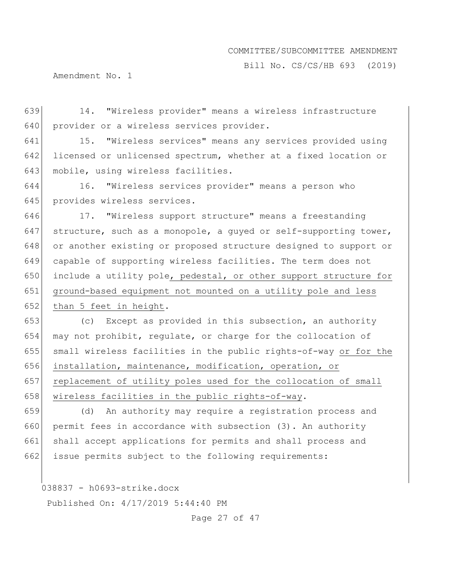Bill No. CS/CS/HB 693 (2019)

Amendment No. 1

639 14. "Wireless provider" means a wireless infrastructure 640 provider or a wireless services provider.

641 15. "Wireless services" means any services provided using 642 licensed or unlicensed spectrum, whether at a fixed location or 643 mobile, using wireless facilities.

644 16. "Wireless services provider" means a person who 645 provides wireless services.

646 17. "Wireless support structure" means a freestanding 647 structure, such as a monopole, a quyed or self-supporting tower, 648 or another existing or proposed structure designed to support or 649 capable of supporting wireless facilities. The term does not 650 include a utility pole, pedestal, or other support structure for 651 ground-based equipment not mounted on a utility pole and less 652 than 5 feet in height.

653 (c) Except as provided in this subsection, an authority 654 may not prohibit, regulate, or charge for the collocation of 655 small wireless facilities in the public rights-of-way or for the 656 installation, maintenance, modification, operation, or 657 replacement of utility poles used for the collocation of small 658 wireless facilities in the public rights-of-way.

659 (d) An authority may require a registration process and 660 permit fees in accordance with subsection (3). An authority 661 shall accept applications for permits and shall process and 662 issue permits subject to the following requirements:

038837 - h0693-strike.docx

Published On: 4/17/2019 5:44:40 PM

Page 27 of 47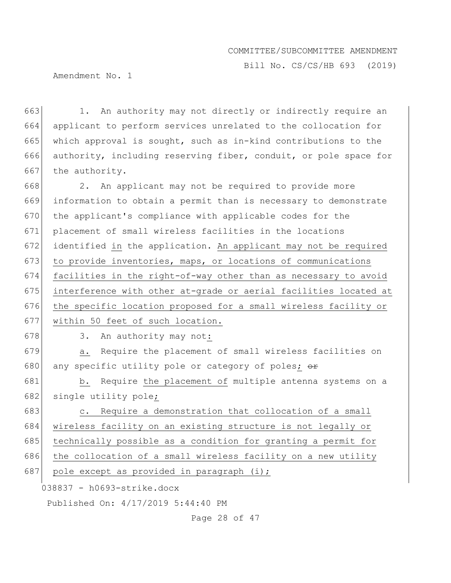Bill No. CS/CS/HB 693 (2019)

Amendment No. 1

663 1. An authority may not directly or indirectly require an 664 applicant to perform services unrelated to the collocation for 665 which approval is sought, such as in-kind contributions to the 666 authority, including reserving fiber, conduit, or pole space for 667 the authority.

668 2. An applicant may not be required to provide more 669 information to obtain a permit than is necessary to demonstrate 670 the applicant's compliance with applicable codes for the 671 placement of small wireless facilities in the locations 672 identified in the application. An applicant may not be required 673 to provide inventories, maps, or locations of communications 674 facilities in the right-of-way other than as necessary to avoid 675 interference with other at-grade or aerial facilities located at 676 the specific location proposed for a small wireless facility or 677 within 50 feet of such location.

678 3. An authority may not:

679 a. Require the placement of small wireless facilities on 680 any specific utility pole or category of poles;  $\Theta$ 

681 b. Require the placement of multiple antenna systems on a 682 single utility pole;

683 c. Require a demonstration that collocation of a small 684 wireless facility on an existing structure is not legally or 685 technically possible as a condition for granting a permit for 686 the collocation of a small wireless facility on a new utility 687 pole except as provided in paragraph  $(i);$ 

038837 - h0693-strike.docx

Published On: 4/17/2019 5:44:40 PM

Page 28 of 47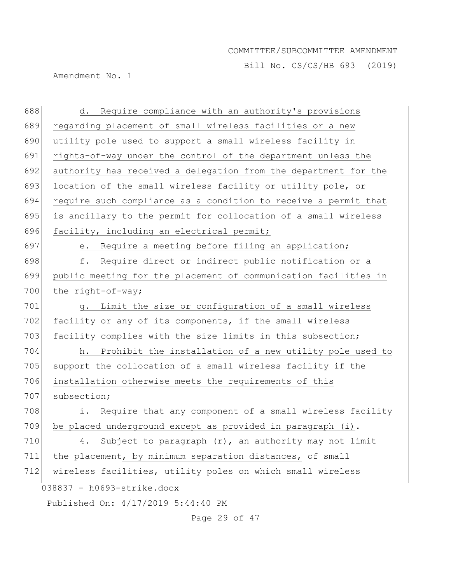Bill No. CS/CS/HB 693 (2019)

Amendment No. 1

| 688 | d. Require compliance with an authority's provisions            |
|-----|-----------------------------------------------------------------|
| 689 | regarding placement of small wireless facilities or a new       |
| 690 | utility pole used to support a small wireless facility in       |
| 691 | rights-of-way under the control of the department unless the    |
| 692 | authority has received a delegation from the department for the |
| 693 | location of the small wireless facility or utility pole, or     |
| 694 | require such compliance as a condition to receive a permit that |
| 695 | is ancillary to the permit for collocation of a small wireless  |
| 696 | facility, including an electrical permit;                       |
| 697 | Require a meeting before filing an application;<br>е.           |
| 698 | f.<br>Require direct or indirect public notification or a       |
| 699 | public meeting for the placement of communication facilities in |
| 700 | the right-of-way;                                               |
| 701 | g. Limit the size or configuration of a small wireless          |
| 702 | facility or any of its components, if the small wireless        |
| 703 | facility complies with the size limits in this subsection;      |
| 704 | Prohibit the installation of a new utility pole used to<br>h.   |
| 705 | support the collocation of a small wireless facility if the     |
| 706 | installation otherwise meets the requirements of this           |
| 707 | subsection;                                                     |
| 708 | Require that any component of a small wireless facility<br>i.   |
| 709 | be placed underground except as provided in paragraph (i).      |
| 710 | Subject to paragraph (r), an authority may not limit<br>4.      |
| 711 | the placement, by minimum separation distances, of small        |
| 712 | wireless facilities, utility poles on which small wireless      |
|     | 038837 - h0693-strike.docx                                      |
|     | Published On: 4/17/2019 5:44:40 PM                              |

Page 29 of 47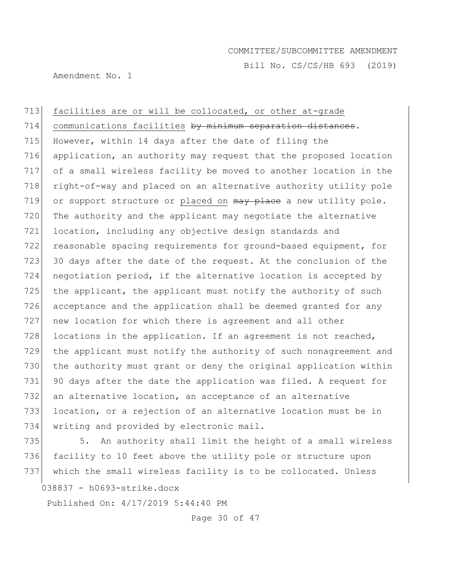Bill No. CS/CS/HB 693 (2019)

Amendment No. 1

713 facilities are or will be collocated, or other at-grade 714 communications facilities by minimum separation distances. 715 However, within 14 days after the date of filing the 716 application, an authority may request that the proposed location 717 of a small wireless facility be moved to another location in the 718 right-of-way and placed on an alternative authority utility pole 719 or support structure or placed on  $\frac{m}{w}$  place a new utility pole. 720 The authority and the applicant may negotiate the alternative 721 location, including any objective design standards and 722 reasonable spacing requirements for ground-based equipment, for 723 30 days after the date of the request. At the conclusion of the 724 negotiation period, if the alternative location is accepted by 725 the applicant, the applicant must notify the authority of such 726 acceptance and the application shall be deemed granted for any 727 new location for which there is agreement and all other 728 locations in the application. If an agreement is not reached, 729 the applicant must notify the authority of such nonagreement and 730 the authority must grant or deny the original application within 731 90 days after the date the application was filed. A request for 732 an alternative location, an acceptance of an alternative 733 location, or a rejection of an alternative location must be in 734 writing and provided by electronic mail.

735 5. An authority shall limit the height of a small wireless 736 facility to 10 feet above the utility pole or structure upon 737 which the small wireless facility is to be collocated. Unless

038837 - h0693-strike.docx

Published On: 4/17/2019 5:44:40 PM

Page 30 of 47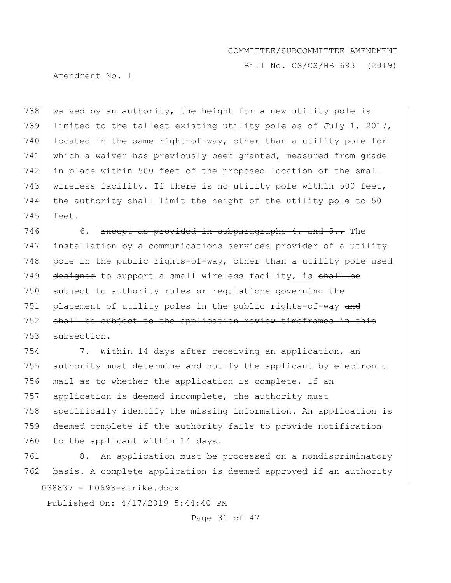Bill No. CS/CS/HB 693 (2019)

Amendment No. 1

738 waived by an authority, the height for a new utility pole is 739 limited to the tallest existing utility pole as of July 1, 2017, 740 located in the same right-of-way, other than a utility pole for 741 which a waiver has previously been granted, measured from grade 742 in place within 500 feet of the proposed location of the small 743 wireless facility. If there is no utility pole within 500 feet, 744 the authority shall limit the height of the utility pole to 50 745 feet.

746 6. Except as provided in subparagraphs 4. and  $5.7$  The 747 installation by a communications services provider of a utility 748 pole in the public rights-of-way, other than a utility pole used 749 designed to support a small wireless facility, is shall be 750 subject to authority rules or regulations governing the 751 placement of utility poles in the public rights-of-way and 752 shall be subject to the application review timeframes in this 753 subsection.

754 7. Within 14 days after receiving an application, an 755 authority must determine and notify the applicant by electronic 756 mail as to whether the application is complete. If an 757 application is deemed incomplete, the authority must 758 specifically identify the missing information. An application is 759 deemed complete if the authority fails to provide notification 760 to the applicant within 14 days.

038837 - h0693-strike.docx 761 8. An application must be processed on a nondiscriminatory 762 basis. A complete application is deemed approved if an authority

Published On: 4/17/2019 5:44:40 PM

Page 31 of 47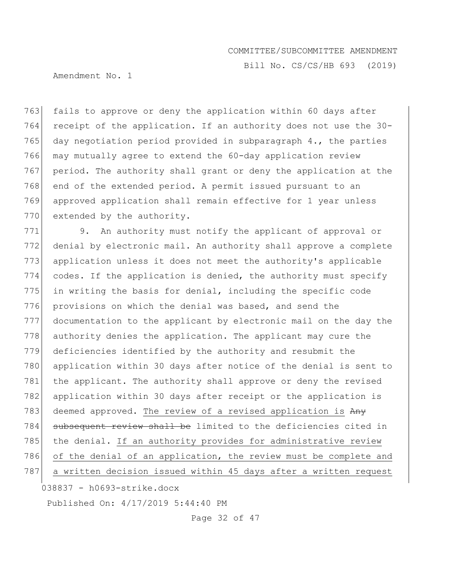Bill No. CS/CS/HB 693 (2019)

Amendment No. 1

763 fails to approve or deny the application within 60 days after 764 receipt of the application. If an authority does not use the 30- 765 day negotiation period provided in subparagraph  $4.$ , the parties 766 may mutually agree to extend the 60-day application review 767 period. The authority shall grant or deny the application at the 768 end of the extended period. A permit issued pursuant to an 769 approved application shall remain effective for 1 year unless 770 extended by the authority.

771 9. An authority must notify the applicant of approval or 772 denial by electronic mail. An authority shall approve a complete 773 application unless it does not meet the authority's applicable 774 codes. If the application is denied, the authority must specify 775 in writing the basis for denial, including the specific code 776 provisions on which the denial was based, and send the 777 documentation to the applicant by electronic mail on the day the 778 authority denies the application. The applicant may cure the 779 deficiencies identified by the authority and resubmit the 780 application within 30 days after notice of the denial is sent to 781 | the applicant. The authority shall approve or deny the revised 782 application within 30 days after receipt or the application is 783 deemed approved. The review of a revised application is  $A_{\text{H}\text{V}}$ 784 subsequent review shall be limited to the deficiencies cited in 785 the denial. If an authority provides for administrative review 786 of the denial of an application, the review must be complete and 787 a written decision issued within 45 days after a written request

038837 - h0693-strike.docx

Published On: 4/17/2019 5:44:40 PM

Page 32 of 47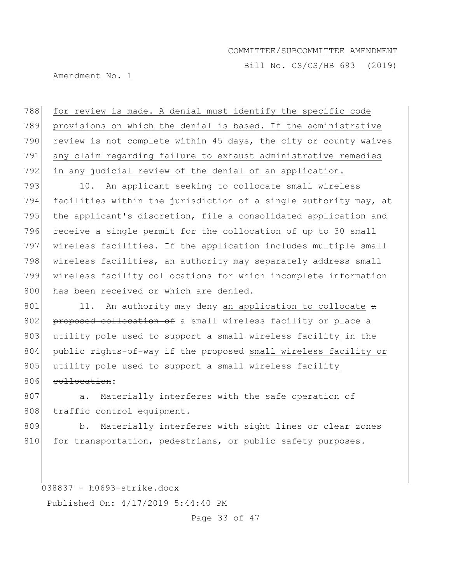Bill No. CS/CS/HB 693 (2019)

Amendment No. 1

788 for review is made. A denial must identify the specific code 789 provisions on which the denial is based. If the administrative 790 review is not complete within 45 days, the city or county waives 791 any claim regarding failure to exhaust administrative remedies 792 in any judicial review of the denial of an application.

793 10. An applicant seeking to collocate small wireless 794 facilities within the jurisdiction of a single authority may, at 795 the applicant's discretion, file a consolidated application and 796 receive a single permit for the collocation of up to 30 small 797 wireless facilities. If the application includes multiple small 798 | wireless facilities, an authority may separately address small 799 wireless facility collocations for which incomplete information 800 has been received or which are denied.

 $801$  11. An authority may deny an application to collocate  $a$ 802 proposed collocation of a small wireless facility or place a 803 utility pole used to support a small wireless facility in the 804 public rights-of-way if the proposed small wireless facility or 805 utility pole used to support a small wireless facility 806 collocation:

807 a. Materially interferes with the safe operation of 808 traffic control equipment.

809 b. Materially interferes with sight lines or clear zones 810 for transportation, pedestrians, or public safety purposes.

038837 - h0693-strike.docx

Published On: 4/17/2019 5:44:40 PM

Page 33 of 47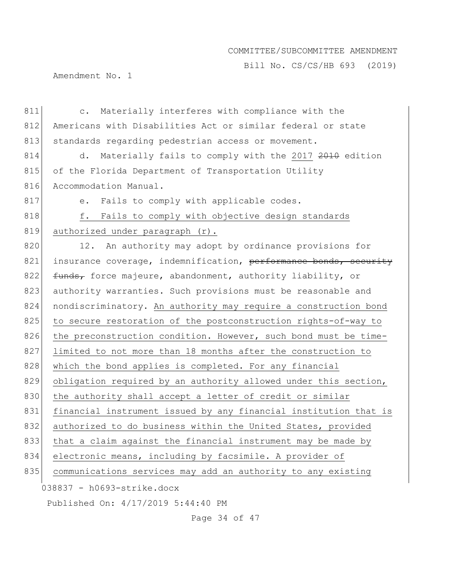Bill No. CS/CS/HB 693 (2019)

Amendment No. 1

| 811 | Materially interferes with compliance with the<br>$\mathsf{C}$ . |  |  |
|-----|------------------------------------------------------------------|--|--|
| 812 | Americans with Disabilities Act or similar federal or state      |  |  |
| 813 | standards regarding pedestrian access or movement.               |  |  |
| 814 | Materially fails to comply with the 2017 2010 edition<br>d.      |  |  |
| 815 | of the Florida Department of Transportation Utility              |  |  |
| 816 | Accommodation Manual.                                            |  |  |
| 817 | Fails to comply with applicable codes.<br>$e$ .                  |  |  |
| 818 | f.<br>Fails to comply with objective design standards            |  |  |
| 819 | authorized under paragraph (r).                                  |  |  |
| 820 | 12. An authority may adopt by ordinance provisions for           |  |  |
| 821 | insurance coverage, indemnification, performance bonds, security |  |  |
| 822 | funds, force majeure, abandonment, authority liability, or       |  |  |
| 823 | authority warranties. Such provisions must be reasonable and     |  |  |
| 824 | nondiscriminatory. An authority may require a construction bond  |  |  |
| 825 | to secure restoration of the postconstruction rights-of-way to   |  |  |
| 826 | the preconstruction condition. However, such bond must be time-  |  |  |
| 827 | limited to not more than 18 months after the construction to     |  |  |
| 828 | which the bond applies is completed. For any financial           |  |  |
| 829 | obligation required by an authority allowed under this section,  |  |  |
| 830 | the authority shall accept a letter of credit or similar         |  |  |
| 831 | financial instrument issued by any financial institution that is |  |  |
| 832 | authorized to do business within the United States, provided     |  |  |
| 833 | that a claim against the financial instrument may be made by     |  |  |
| 834 | electronic means, including by facsimile. A provider of          |  |  |
| 835 | communications services may add an authority to any existing     |  |  |
|     | 038837 - h0693-strike.docx                                       |  |  |
|     | Published On: 4/17/2019 5:44:40 PM                               |  |  |

Page 34 of 47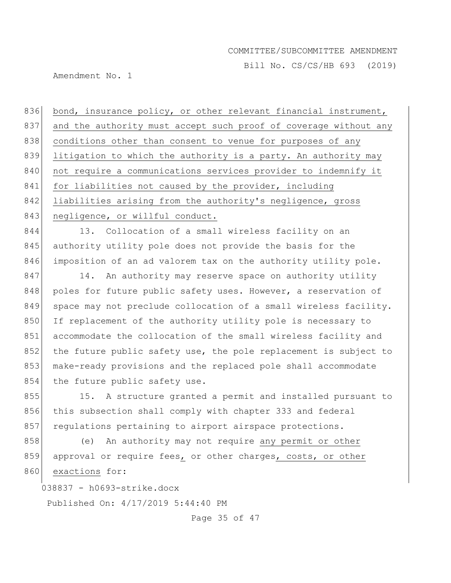Bill No. CS/CS/HB 693 (2019)

Amendment No. 1

836 bond, insurance policy, or other relevant financial instrument, 837 and the authority must accept such proof of coverage without any 838 conditions other than consent to venue for purposes of any 839 litigation to which the authority is a party. An authority may 840 not require a communications services provider to indemnify it 841 for liabilities not caused by the provider, including 842 liabilities arising from the authority's negligence, gross 843 negligence, or willful conduct.

844 13. Collocation of a small wireless facility on an 845 authority utility pole does not provide the basis for the 846 imposition of an ad valorem tax on the authority utility pole.

847 14. An authority may reserve space on authority utility 848 poles for future public safety uses. However, a reservation of 849 space may not preclude collocation of a small wireless facility. 850 If replacement of the authority utility pole is necessary to 851 accommodate the collocation of the small wireless facility and 852 the future public safety use, the pole replacement is subject to 853 make-ready provisions and the replaced pole shall accommodate 854 the future public safety use.

855 15. A structure granted a permit and installed pursuant to 856 this subsection shall comply with chapter 333 and federal 857 regulations pertaining to airport airspace protections.

858 (e) An authority may not require any permit or other 859 approval or require fees, or other charges, costs, or other 860 exactions for:

038837 - h0693-strike.docx

Published On: 4/17/2019 5:44:40 PM

Page 35 of 47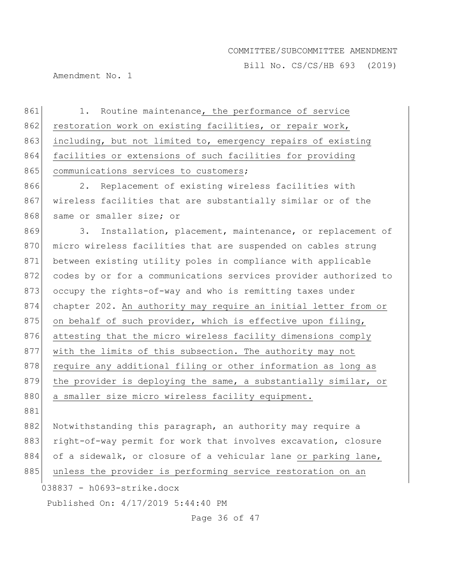Bill No. CS/CS/HB 693 (2019)

Amendment No. 1

| 861 | 1. Routine maintenance, the performance of service               |
|-----|------------------------------------------------------------------|
| 862 | restoration work on existing facilities, or repair work,         |
| 863 | including, but not limited to, emergency repairs of existing     |
| 864 | facilities or extensions of such facilities for providing        |
| 865 | communications services to customers;                            |
| 866 | Replacement of existing wireless facilities with<br>2.           |
| 867 | wireless facilities that are substantially similar or of the     |
| 868 | same or smaller size; or                                         |
| 869 | Installation, placement, maintenance, or replacement of<br>3.    |
| 870 | micro wireless facilities that are suspended on cables strung    |
| 871 | between existing utility poles in compliance with applicable     |
| 872 | codes by or for a communications services provider authorized to |
| 873 | occupy the rights-of-way and who is remitting taxes under        |
| 874 | chapter 202. An authority may require an initial letter from or  |
| 875 | on behalf of such provider, which is effective upon filing,      |
| 876 | attesting that the micro wireless facility dimensions comply     |
| 877 | with the limits of this subsection. The authority may not        |
| 878 | require any additional filing or other information as long as    |
| 879 | the provider is deploying the same, a substantially similar, or  |
| 880 | a smaller size micro wireless facility equipment.                |
| 881 |                                                                  |
| 882 | Notwithstanding this paragraph, an authority may require a       |
| 883 | right-of-way permit for work that involves excavation, closure   |
| 884 | of a sidewalk, or closure of a vehicular lane or parking lane,   |
| 885 | unless the provider is performing service restoration on an      |
|     | 038837 - h0693-strike.docx                                       |
|     | Published On: 4/17/2019 5:44:40 PM                               |

Page 36 of 47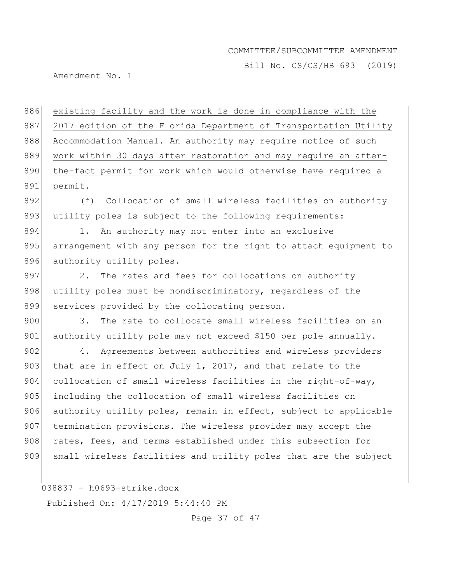Bill No. CS/CS/HB 693 (2019)

Amendment No. 1

886 existing facility and the work is done in compliance with the 887 2017 edition of the Florida Department of Transportation Utility 888 Accommodation Manual. An authority may require notice of such 889 work within 30 days after restoration and may require an after-890 the-fact permit for work which would otherwise have required a 891 permit. 892 (f) Collocation of small wireless facilities on authority 893 utility poles is subject to the following requirements: 894 1. An authority may not enter into an exclusive 895 arrangement with any person for the right to attach equipment to 896 authority utility poles. 897 2. The rates and fees for collocations on authority 898 utility poles must be nondiscriminatory, regardless of the 899 services provided by the collocating person. 900 3. The rate to collocate small wireless facilities on an 901 authority utility pole may not exceed \$150 per pole annually. 902 4. Agreements between authorities and wireless providers 903 that are in effect on July 1, 2017, and that relate to the 904 collocation of small wireless facilities in the right-of-way, 905 including the collocation of small wireless facilities on 906 authority utility poles, remain in effect, subject to applicable 907 termination provisions. The wireless provider may accept the 908 rates, fees, and terms established under this subsection for 909 small wireless facilities and utility poles that are the subject

038837 - h0693-strike.docx

Published On: 4/17/2019 5:44:40 PM

Page 37 of 47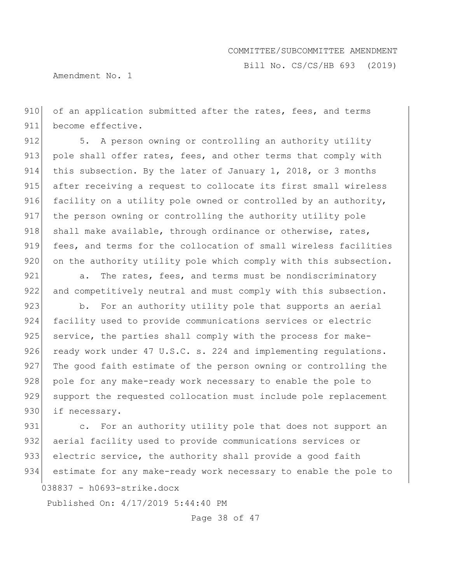Bill No. CS/CS/HB 693 (2019)

Amendment No. 1

910 of an application submitted after the rates, fees, and terms 911 become effective.

912 5. A person owning or controlling an authority utility 913 pole shall offer rates, fees, and other terms that comply with 914 this subsection. By the later of January 1, 2018, or 3 months 915 after receiving a request to collocate its first small wireless 916 facility on a utility pole owned or controlled by an authority, 917 the person owning or controlling the authority utility pole 918 shall make available, through ordinance or otherwise, rates, 919 fees, and terms for the collocation of small wireless facilities 920 on the authority utility pole which comply with this subsection.

921 a. The rates, fees, and terms must be nondiscriminatory 922 and competitively neutral and must comply with this subsection.

923 b. For an authority utility pole that supports an aerial 924 facility used to provide communications services or electric 925 service, the parties shall comply with the process for make-926 ready work under 47 U.S.C. s. 224 and implementing regulations. 927 The good faith estimate of the person owning or controlling the 928 pole for any make-ready work necessary to enable the pole to 929 support the requested collocation must include pole replacement 930 if necessary.

931 c. For an authority utility pole that does not support an 932 aerial facility used to provide communications services or 933 electric service, the authority shall provide a good faith 934 estimate for any make-ready work necessary to enable the pole to

038837 - h0693-strike.docx

Published On: 4/17/2019 5:44:40 PM

Page 38 of 47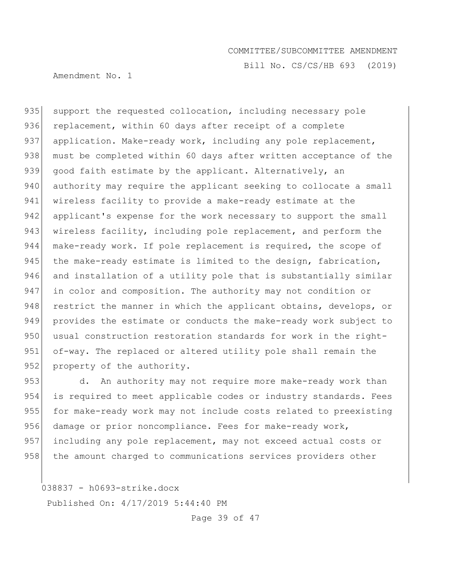Bill No. CS/CS/HB 693 (2019)

Amendment No. 1

935 support the requested collocation, including necessary pole 936 replacement, within 60 days after receipt of a complete 937 application. Make-ready work, including any pole replacement, 938 must be completed within 60 days after written acceptance of the 939 good faith estimate by the applicant. Alternatively, an 940 authority may require the applicant seeking to collocate a small 941 wireless facility to provide a make-ready estimate at the 942 applicant's expense for the work necessary to support the small 943 wireless facility, including pole replacement, and perform the 944 make-ready work. If pole replacement is required, the scope of 945 the make-ready estimate is limited to the design, fabrication, 946 and installation of a utility pole that is substantially similar 947 in color and composition. The authority may not condition or 948 restrict the manner in which the applicant obtains, develops, or 949 provides the estimate or conducts the make-ready work subject to 950 usual construction restoration standards for work in the right-951 of-way. The replaced or altered utility pole shall remain the 952 property of the authority.

953 d. An authority may not require more make-ready work than 954 is required to meet applicable codes or industry standards. Fees 955 for make-ready work may not include costs related to preexisting 956 damage or prior noncompliance. Fees for make-ready work, 957 including any pole replacement, may not exceed actual costs or 958 the amount charged to communications services providers other

038837 - h0693-strike.docx

Published On: 4/17/2019 5:44:40 PM

Page 39 of 47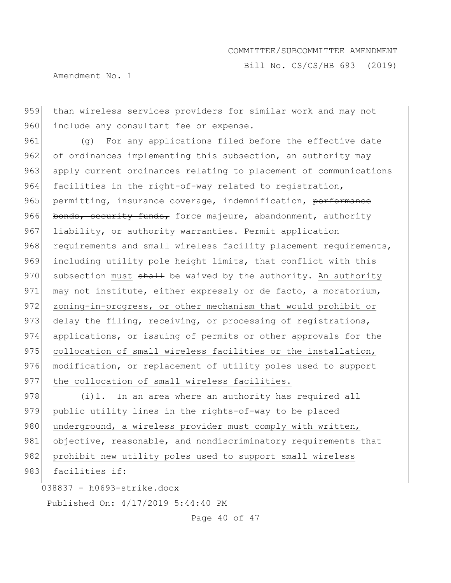Amendment No. 1

Bill No. CS/CS/HB 693 (2019)

959 than wireless services providers for similar work and may not 960 include any consultant fee or expense.

961 (g) For any applications filed before the effective date 962 of ordinances implementing this subsection, an authority may 963 apply current ordinances relating to placement of communications 964 facilities in the right-of-way related to registration, 965 permitting, insurance coverage, indemnification, performance 966 bonds, security funds, force majeure, abandonment, authority 967 liability, or authority warranties. Permit application 968 requirements and small wireless facility placement requirements, 969 including utility pole height limits, that conflict with this 970 subsection must shall be waived by the authority. An authority 971 may not institute, either expressly or de facto, a moratorium, 972 zoning-in-progress, or other mechanism that would prohibit or 973 delay the filing, receiving, or processing of registrations, 974 applications, or issuing of permits or other approvals for the 975 collocation of small wireless facilities or the installation, 976 modification, or replacement of utility poles used to support 977 the collocation of small wireless facilities.

978 (i)1. In an area where an authority has required all 979 public utility lines in the rights-of-way to be placed 980 underground, a wireless provider must comply with written, 981 objective, reasonable, and nondiscriminatory requirements that 982 prohibit new utility poles used to support small wireless

## 983 facilities if:

038837 - h0693-strike.docx

Published On: 4/17/2019 5:44:40 PM

Page 40 of 47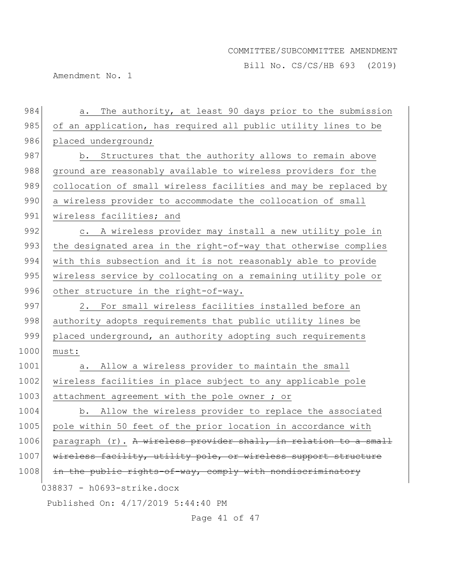Bill No. CS/CS/HB 693 (2019)

Amendment No. 1

| 984  | The authority, at least 90 days prior to the submission<br>a.    |
|------|------------------------------------------------------------------|
| 985  | of an application, has required all public utility lines to be   |
| 986  | placed underground;                                              |
| 987  | b. Structures that the authority allows to remain above          |
| 988  | ground are reasonably available to wireless providers for the    |
| 989  | collocation of small wireless facilities and may be replaced by  |
| 990  | a wireless provider to accommodate the collocation of small      |
| 991  | wireless facilities; and                                         |
| 992  | c. A wireless provider may install a new utility pole in         |
| 993  | the designated area in the right-of-way that otherwise complies  |
| 994  | with this subsection and it is not reasonably able to provide    |
| 995  | wireless service by collocating on a remaining utility pole or   |
| 996  | other structure in the right-of-way.                             |
| 997  | 2. For small wireless facilities installed before an             |
| 998  | authority adopts requirements that public utility lines be       |
| 999  | placed underground, an authority adopting such requirements      |
| 1000 | must:                                                            |
| 1001 | Allow a wireless provider to maintain the small<br>a.            |
| 1002 | wireless facilities in place subject to any applicable pole      |
| 1003 | attachment agreement with the pole owner ; or                    |
| 1004 | b. Allow the wireless provider to replace the associated         |
| 1005 | pole within 50 feet of the prior location in accordance with     |
| 1006 | paragraph (r). A wireless provider shall, in relation to a small |
| 1007 | wireless facility, utility pole, or wireless support structure   |
| 1008 | in the public rights-of-way, comply with nondiscriminatory       |
|      | $038837 - h0693 - strike.docx$                                   |
|      | Published On: 4/17/2019 5:44:40 PM                               |

Page 41 of 47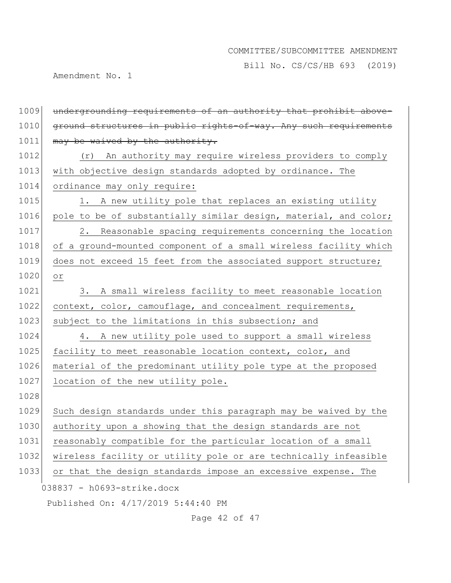Bill No. CS/CS/HB 693 (2019)

Amendment No. 1

| 1009 | undergrounding requirements of an authority that prohibit above- |
|------|------------------------------------------------------------------|
| 1010 | ground structures in public rights-of-way. Any such requirements |
| 1011 | may be waived by the authority.                                  |
| 1012 | An authority may require wireless providers to comply<br>(r)     |
| 1013 | with objective design standards adopted by ordinance. The        |
| 1014 | ordinance may only require:                                      |
| 1015 | A new utility pole that replaces an existing utility<br>1.       |
| 1016 | pole to be of substantially similar design, material, and color; |
| 1017 | Reasonable spacing requirements concerning the location<br>2.    |
| 1018 | of a ground-mounted component of a small wireless facility which |
| 1019 | does not exceed 15 feet from the associated support structure;   |
| 1020 | $\circ$ r                                                        |
| 1021 | 3. A small wireless facility to meet reasonable location         |
| 1022 | context, color, camouflage, and concealment requirements,        |
| 1023 | subject to the limitations in this subsection; and               |
| 1024 | 4. A new utility pole used to support a small wireless           |
| 1025 | facility to meet reasonable location context, color, and         |
| 1026 | material of the predominant utility pole type at the proposed    |
| 1027 | location of the new utility pole.                                |
| 1028 |                                                                  |
| 1029 | Such design standards under this paragraph may be waived by the  |
| 1030 | authority upon a showing that the design standards are not       |
| 1031 | reasonably compatible for the particular location of a small     |
| 1032 | wireless facility or utility pole or are technically infeasible  |
| 1033 | or that the design standards impose an excessive expense. The    |
|      | 038837 - h0693-strike.docx                                       |
|      | Published On: 4/17/2019 5:44:40 PM                               |

Page 42 of 47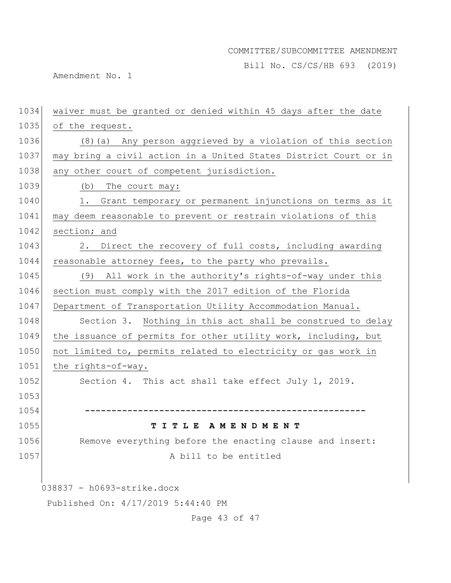Bill No. CS/CS/HB 693 (2019)

Amendment No. 1

| 1034 | waiver must be granted or denied within 45 days after the date   |
|------|------------------------------------------------------------------|
| 1035 | of the request.                                                  |
| 1036 | (8) (a) Any person aggrieved by a violation of this section      |
| 1037 | may bring a civil action in a United States District Court or in |
| 1038 | any other court of competent jurisdiction.                       |
| 1039 | (b)<br>The court may:                                            |
| 1040 | Grant temporary or permanent injunctions on terms as it<br>1.    |
| 1041 | may deem reasonable to prevent or restrain violations of this    |
| 1042 | section; and                                                     |
| 1043 | Direct the recovery of full costs, including awarding<br>2.      |
| 1044 | reasonable attorney fees, to the party who prevails.             |
| 1045 | (9) All work in the authority's rights-of-way under this         |
| 1046 | section must comply with the 2017 edition of the Florida         |
| 1047 | Department of Transportation Utility Accommodation Manual.       |
| 1048 | Section 3. Nothing in this act shall be construed to delay       |
| 1049 | the issuance of permits for other utility work, including, but   |
| 1050 | not limited to, permits related to electricity or gas work in    |
| 1051 | the rights-of-way.                                               |
| 1052 | Section 4. This act shall take effect July 1, 2019.              |
| 1053 |                                                                  |
| 1054 |                                                                  |
| 1055 | TITLE AMENDMENT                                                  |
| 1056 | Remove everything before the enacting clause and insert:         |
| 1057 | A bill to be entitled                                            |
|      |                                                                  |
|      | 038837 - h0693-strike.docx                                       |
|      | Published On: 4/17/2019 5:44:40 PM                               |
|      | Page 43 of 47                                                    |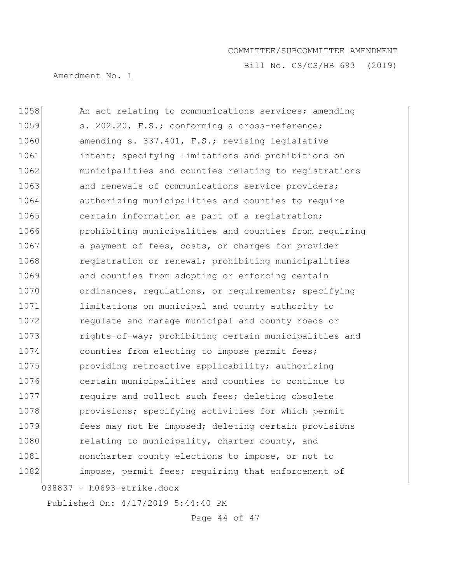Bill No. CS/CS/HB 693 (2019)

Amendment No. 1

| 1058 | An act relating to communications services; amending   |
|------|--------------------------------------------------------|
| 1059 | s. 202.20, F.S.; conforming a cross-reference;         |
| 1060 | amending s. 337.401, F.S.; revising legislative        |
| 1061 | intent; specifying limitations and prohibitions on     |
| 1062 | municipalities and counties relating to registrations  |
| 1063 | and renewals of communications service providers;      |
| 1064 | authorizing municipalities and counties to require     |
| 1065 | certain information as part of a registration;         |
| 1066 | prohibiting municipalities and counties from requiring |
| 1067 | a payment of fees, costs, or charges for provider      |
| 1068 | registration or renewal; prohibiting municipalities    |
| 1069 | and counties from adopting or enforcing certain        |
| 1070 | ordinances, regulations, or requirements; specifying   |
| 1071 | limitations on municipal and county authority to       |
| 1072 | regulate and manage municipal and county roads or      |
| 1073 | rights-of-way; prohibiting certain municipalities and  |
| 1074 | counties from electing to impose permit fees;          |
| 1075 | providing retroactive applicability; authorizing       |
| 1076 | certain municipalities and counties to continue to     |
| 1077 | require and collect such fees; deleting obsolete       |
| 1078 | provisions; specifying activities for which permit     |
| 1079 | fees may not be imposed; deleting certain provisions   |
| 1080 | relating to municipality, charter county, and          |
| 1081 | noncharter county elections to impose, or not to       |
| 1082 | impose, permit fees; requiring that enforcement of     |
|      | 038837 - h0693-strike.docx                             |

Published On: 4/17/2019 5:44:40 PM

Page 44 of 47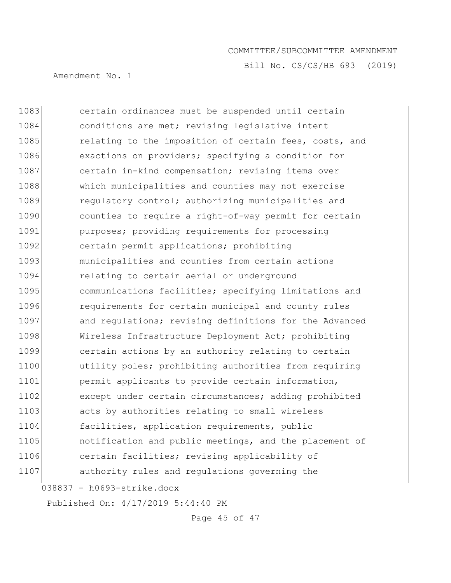Bill No. CS/CS/HB 693 (2019)

Amendment No. 1

038837 - h0693-strike.docx 1083 certain ordinances must be suspended until certain 1084 conditions are met; revising legislative intent 1085 relating to the imposition of certain fees, costs, and 1086 exactions on providers; specifying a condition for 1087 certain in-kind compensation; revising items over 1088 which municipalities and counties may not exercise 1089 regulatory control; authorizing municipalities and 1090 counties to require a right-of-way permit for certain 1091 **purposes;** providing requirements for processing 1092 certain permit applications; prohibiting 1093 municipalities and counties from certain actions 1094 relating to certain aerial or underground 1095 communications facilities; specifying limitations and 1096 **requirements** for certain municipal and county rules 1097 and regulations; revising definitions for the Advanced 1098 Wireless Infrastructure Deployment Act; prohibiting 1099 certain actions by an authority relating to certain 1100 utility poles; prohibiting authorities from requiring 1101 **permit applicants to provide certain information,** 1102 except under certain circumstances; adding prohibited 1103 acts by authorities relating to small wireless 1104 facilities, application requirements, public 1105 **notification and public meetings, and the placement of** 1106 certain facilities; revising applicability of 1107 authority rules and regulations governing the

Published On: 4/17/2019 5:44:40 PM

Page 45 of 47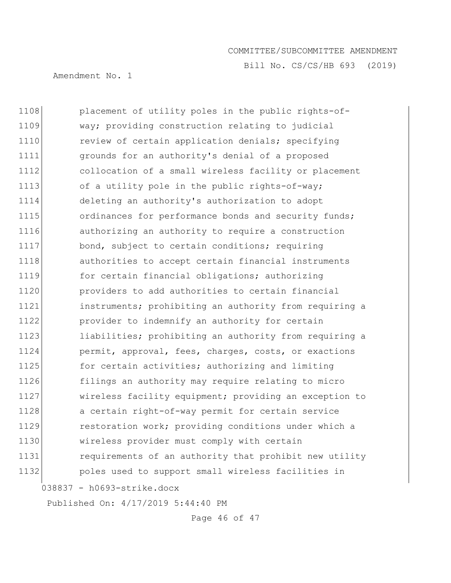Bill No. CS/CS/HB 693 (2019)

Amendment No. 1

038837 - h0693-strike.docx 1108 placement of utility poles in the public rights-of-1109 way; providing construction relating to judicial 1110 review of certain application denials; specifying 1111 grounds for an authority's denial of a proposed 1112 collocation of a small wireless facility or placement 1113 of a utility pole in the public rights-of-way; 1114 deleting an authority's authorization to adopt 1115 **Solution** ordinances for performance bonds and security funds; 1116 authorizing an authority to require a construction 1117 bond, subject to certain conditions; requiring 1118 **authorities to accept certain financial instruments** 1119 for certain financial obligations; authorizing 1120 **providers** to add authorities to certain financial 1121 instruments; prohibiting an authority from requiring a 1122 provider to indemnify an authority for certain 1123 liabilities; prohibiting an authority from requiring a 1124 permit, approval, fees, charges, costs, or exactions 1125 for certain activities; authorizing and limiting 1126 filings an authority may require relating to micro 1127 wireless facility equipment; providing an exception to 1128 a certain right-of-way permit for certain service 1129 restoration work; providing conditions under which a 1130 wireless provider must comply with certain 1131 **requirements of an authority that prohibit new utility** 1132 poles used to support small wireless facilities in

Published On: 4/17/2019 5:44:40 PM

Page 46 of 47